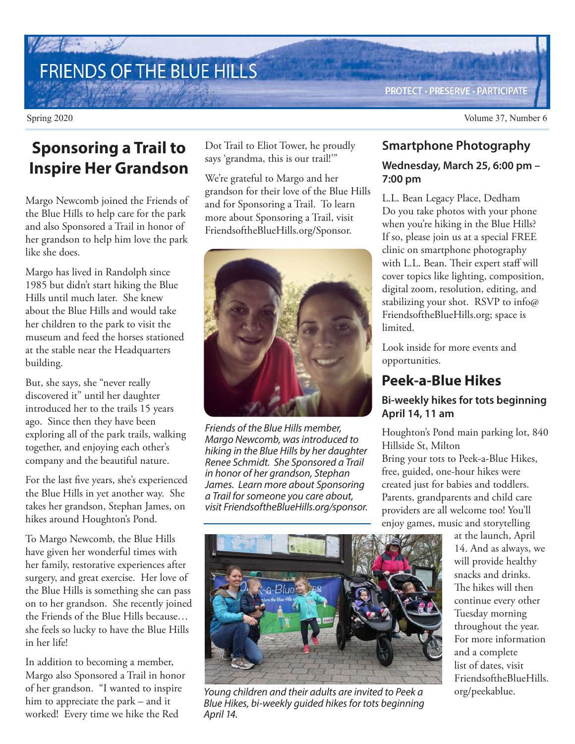# FRIENDS OF THE BLUE HILLS

Dot Trail to Eliot Tower, he proudly says 'grandma, this is our trail!'"

We're grateful to Margo and her grandson for their love of the Blue Hills and for Sponsoring a Trail. To learn more about Sponsoring a Trail, visit FriendsoftheBlueHills.org/Sponsor.



Friends of the Blue Hills member, Margo Newcomb, was introduced to hiking in the Blue Hills by her daughter Renee Schmidt. She Sponsored a Trail in honor of her grandson, Stephan James. Learn more about Sponsoring a Trail for someone you care about, visit FriendsoftheBlueHills.org/sponsor. **Smartphone Photography** 

**PROTECT · PRESERVE · PARTICIPATE** 

### **Wednesday, March 25, 6:00 pm – 7:00 pm**

L.L. Bean Legacy Place, Dedham Do you take photos with your phone when you're hiking in the Blue Hills? If so, please join us at a special FREE clinic on smartphone photography with L.L. Bean. Their expert staff will cover topics like lighting, composition, digital zoom, resolution, editing, and stabilizing your shot. RSVP to info@ FriendsoftheBlueHills.org; space is limited.

Look inside for more events and opportunities.

## **Peek-a-Blue Hikes**

### **Bi-weekly hikes for tots beginning April 14, 11 am**

Houghton's Pond main parking lot, 840 Hillside St, Milton

Bring your tots to Peek-a-Blue Hikes, free, guided, one-hour hikes were created just for babies and toddlers. Parents, grandparents and child care providers are all welcome too! You'll enjoy games, music and storytelling

Young children and their adults are invited to Peek a Blue Hikes, bi-weekly guided hikes for tots beginning April 14.

at the launch, April 14. And as always, we will provide healthy snacks and drinks. The hikes will then continue every other Tuesday morning throughout the year. For more information and a complete list of dates, visit FriendsoftheBlueHills. org/peekablue.

# **Sponsoring a Trail to Inspire Her Grandson**

Margo Newcomb joined the Friends of the Blue Hills to help care for the park and also Sponsored a Trail in honor of her grandson to help him love the park like she does.

Margo has lived in Randolph since 1985 but didn't start hiking the Blue Hills until much later. She knew about the Blue Hills and would take her children to the park to visit the museum and feed the horses stationed at the stable near the Headquarters building.

But, she says, she "never really discovered it" until her daughter introduced her to the trails 15 years ago. Since then they have been exploring all of the park trails, walking together, and enjoying each other's company and the beautiful nature.

For the last five years, she's experienced the Blue Hills in yet another way. She takes her grandson, Stephan James, on hikes around Houghton's Pond.

To Margo Newcomb, the Blue Hills have given her wonderful times with her family, restorative experiences after surgery, and great exercise. Her love of the Blue Hills is something she can pass on to her grandson. She recently joined the Friends of the Blue Hills because… she feels so lucky to have the Blue Hills in her life!

In addition to becoming a member, Margo also Sponsored a Trail in honor of her grandson. "I wanted to inspire him to appreciate the park – and it worked! Every time we hike the Red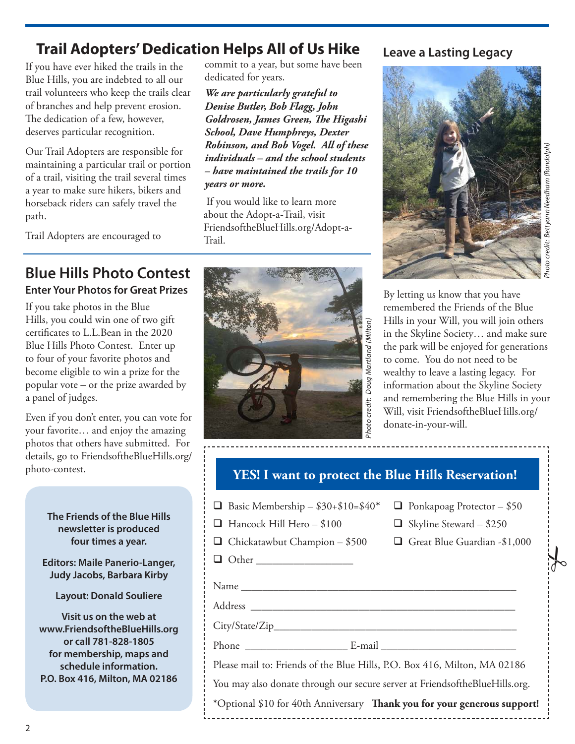### commit to a year, but some have been **Trail Adopters' Dedication Helps All of Us Hike Leave a Lasting Legacy**

If you have ever hiked the trails in the Blue Hills, you are indebted to all our trail volunteers who keep the trails clear of branches and help prevent erosion. The dedication of a few, however, deserves particular recognition.

Our Trail Adopters are responsible for maintaining a particular trail or portion of a trail, visiting the trail several times a year to make sure hikers, bikers and horseback riders can safely travel the path.

Trail Adopters are encouraged to

**Blue Hills Photo Contest Enter Your Photos for Great Prizes**

If you take photos in the Blue Hills, you could win one of two gift certificates to L.L.Bean in the 2020 Blue Hills Photo Contest. Enter up to four of your favorite photos and become eligible to win a prize for the popular vote – or the prize awarded by a panel of judges.

Even if you don't enter, you can vote for your favorite… and enjoy the amazing photos that others have submitted. For details, go to FriendsoftheBlueHills.org/ photo-contest.

> **The Friends of the Blue Hills newsletter is produced four times a year.**

**Editors: Maile Panerio-Langer, Judy Jacobs, Barbara Kirby**

**Layout: Donald Souliere**

**Visit us on the web at www.FriendsoftheBlueHills.org or call 781-828-1805 for membership, maps and schedule information. P.O. Box 416, Milton, MA 02186**



*We are particularly grateful to Denise Butler, Bob Flagg, John* 

 If you would like to learn more about the Adopt-a-Trail, visit FriendsoftheBlueHills.org/Adopt-a-

dedicated for years.

*years or more.*

Trail.

*Goldrosen, James Green, The Higashi School, Dave Humphreys, Dexter Robinson, and Bob Vogel. All of these individuals – and the school students – have maintained the trails for 10*



Photo credit: Bettyann Needham (Randolph) Bettyann Needham (Randolph) oto credit:

 $\frac{1}{6}$ 

By letting us know that you have remembered the Friends of the Blue Hills in your Will, you will join others in the Skyline Society… and make sure the park will be enjoyed for generations to come. You do not need to be wealthy to leave a lasting legacy. For information about the Skyline Society and remembering the Blue Hills in your Will, visit FriendsoftheBlueHills.org/ donate-in-your-will.

### **YES! I want to protect the Blue Hills Reservation!**

| $\Box$ Basic Membership - \$30+\$10=\$40 |
|------------------------------------------|
|------------------------------------------|

- $\Box$  Hancock Hill Hero \$100  $\Box$  Skyline Steward \$250
- $\Box$  Chickatawbut Champion \$500  $\Box$  Great Blue Guardian -\$1,000

 $\Box$  Ponkapoag Protector – \$50

 $\Box$  Other

Name \_\_\_\_\_\_\_\_\_\_\_\_\_\_\_\_\_\_\_\_\_\_\_\_\_\_\_\_\_\_\_\_\_\_\_\_\_\_\_\_\_\_\_\_\_\_\_\_\_\_\_ Address \_\_\_\_\_\_\_\_\_\_\_\_\_\_\_\_\_\_\_\_\_\_\_\_\_\_\_\_\_\_\_\_\_\_\_\_\_\_\_\_\_\_\_\_\_\_\_\_\_

City/State/Zip\_\_\_\_\_\_\_\_\_\_\_\_\_\_\_\_\_\_\_\_\_\_\_\_\_\_\_\_\_\_\_\_\_\_\_\_\_\_\_\_\_\_\_\_\_

Phone \_\_\_\_\_\_\_\_\_\_\_\_\_\_\_\_\_\_\_ E-mail \_\_\_\_\_\_\_\_\_\_\_\_\_\_\_\_\_\_\_\_\_\_\_\_\_

Please mail to: Friends of the Blue Hills, P.O. Box 416, Milton, MA 02186 You may also donate through our secure server at FriendsoftheBlueHills.org. \*Optional \$10 for 40th Anniversary **Thank you for your generous support!**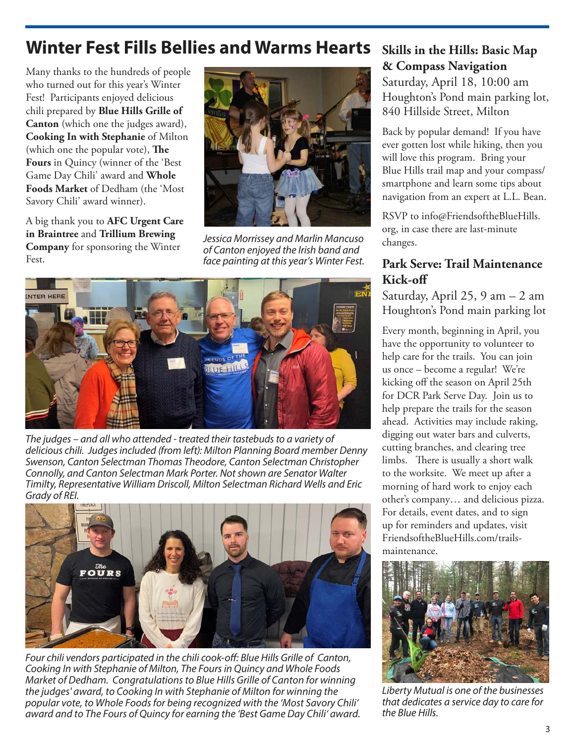# **Winter Fest Fills Bellies and Warms Hearts**

Many thanks to the hundreds of people who turned out for this year's Winter Fest! Participants enjoyed delicious chili prepared by **Blue Hills Grille of Canton** (which one the judges award), **Cooking In with Stephanie** of Milton (which one the popular vote), **The Fours** in Quincy (winner of the 'Best Game Day Chili' award and **Whole Foods Market** of Dedham (the 'Most Savory Chili' award winner).

A big thank you to **AFC Urgent Care in Braintree** and **Trillium Brewing Company** for sponsoring the Winter Fest.



Jessica Morrissey and Marlin Mancuso of Canton enjoyed the Irish band and face painting at this year's Winter Fest.



The judges – and all who attended - treated their tastebuds to a variety of delicious chili. Judges included (from left): Milton Planning Board member Denny Swenson, Canton Selectman Thomas Theodore, Canton Selectman Christopher Connolly, and Canton Selectman Mark Porter. Not shown are Senator Walter Timilty, Representative William Driscoll, Milton Selectman Richard Wells and Eric Grady of REI.



Four chili vendors participated in the chili cook-off: Blue Hills Grille of Canton, Cooking In with Stephanie of Milton, The Fours in Quincy and Whole Foods Market of Dedham. Congratulations to Blue Hills Grille of Canton for winning the judges' award, to Cooking In with Stephanie of Milton for winning the popular vote, to Whole Foods for being recognized with the 'Most Savory Chili' award and to The Fours of Quincy for earning the 'Best Game Day Chili' award.

# **Skills in the Hills: Basic Map & Compass Navigation**

Saturday, April 18, 10:00 am Houghton's Pond main parking lot, 840 Hillside Street, Milton

Back by popular demand! If you have ever gotten lost while hiking, then you will love this program. Bring your Blue Hills trail map and your compass/ smartphone and learn some tips about navigation from an expert at L.L. Bean.

RSVP to info@FriendsoftheBlueHills. org, in case there are last-minute changes.

### **Park Serve: Trail Maintenance Kick-off**

Saturday, April 25, 9 am – 2 am Houghton's Pond main parking lot

Every month, beginning in April, you have the opportunity to volunteer to help care for the trails. You can join us once – become a regular! We're kicking off the season on April 25th for DCR Park Serve Day. Join us to help prepare the trails for the season ahead. Activities may include raking, digging out water bars and culverts, cutting branches, and clearing tree limbs. There is usually a short walk to the worksite. We meet up after a morning of hard work to enjoy each other's company… and delicious pizza. For details, event dates, and to sign up for reminders and updates, visit FriendsoftheBlueHills.com/trailsmaintenance.



Liberty Mutual is one of the businesses that dedicates a service day to care for the Blue Hills.